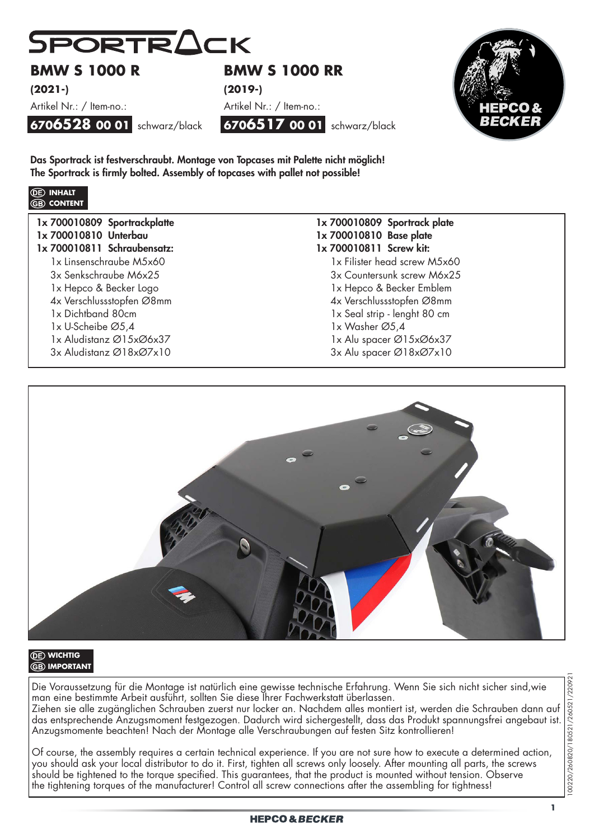

# **BMW S 1000 R**

**(2021-)** 

Artikel Nr.: / Item-no.:

**6706528 00 01** schwarz/black

Das Sportrack ist festverschraubt. Montage von Topcases mit Palette nicht möglich! The Sportrack is firmly bolted. Assembly of topcases with pallet not possible!



| 1x 700010809 Sportrackplatte |
|------------------------------|
| 1x 700010810 Unterbau        |
| 1x 700010811 Schraubensatz:  |
| 1x Linsenschraube M5x60      |
| 3x Senkschraube M6x25        |
| 1x Hepco & Becker Logo       |
| 4x Verschlussstopfen Ø8mm    |
| 1x Dichtband 80cm            |
| 1x U-Scheibe Ø5,4            |
| 1x Aludistanz Ø15xØ6x37      |
| 3x Aludistanz Ø18xØ7x10      |

# **BMW S 1000 RR (2019-)**





1x 700010809 Sportrack plate 1x 700010810 Base plate 1x 700010811 Screw kit: 1x Filister head screw M5x60 3x Countersunk screw M6x25 1x Hepco & Becker Emblem 4x Verschlussstopfen Ø8mm 1x Seal strip - lenght 80 cm 1x Washer Ø5,4 1x Alu spacer Ø15xØ6x37 3x Alu spacer Ø18xØ7x10



### *<u>CE</u>* **WICHTIG GB** IMPORTANT

Die Voraussetzung für die Montage ist natürlich eine gewisse technische Erfahrung. Wenn Sie sich nicht sicher sind,wie man eine bestimmte Arbeit ausführt, sollten Sie diese Ihrer Fachwerkstatt überlassen. Ziehen sie alle zugänglichen Schrauben zuerst nur locker an. Nachdem alles montiert ist, werden die Schrauben dann auf das entsprechende Anzugsmoment festgezogen. Dadurch wird sichergestellt, dass das Produkt spannungsfrei angebaut ist. Anzugsmomente beachten! Nach der Montage alle Verschraubungen auf festen Sitz kontrollieren!

Of course, the assembly requires a certain technical experience. If you are not sure how to execute a determined action, you should ask your local distributor to do it. First, tighten all screws only loosely. After mounting all parts, the screws should be tightened to the torque specified. This guarantees, that the product is mounted without tension. Observe the tightening torques of the manufacturer! Control all screw connections after the assembling for tightness!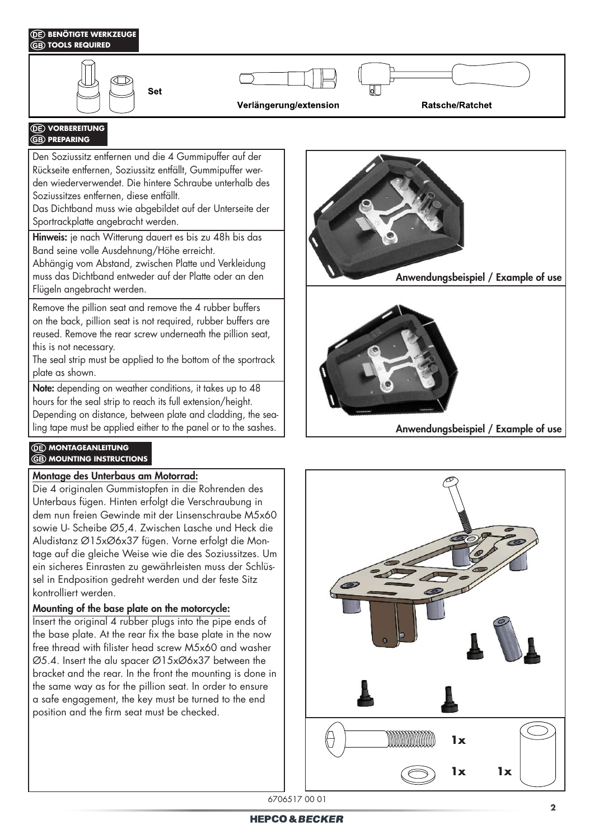## *<b>DE* BENÖTIGTE WERKZEUGE **TOOLS REQUIRED Set Ratsche/Ratchet** Verlängerung/extension

#### **VORBEREITUNG GB** PREPARING

Den Soziussitz entfernen und die 4 Gummipuffer auf der Rückseite entfernen, Soziussitz entfällt, Gummipuffer werden wiederverwendet. Die hintere Schraube unterhalb des Soziussitzes entfernen, diese entfällt.

Das Dichtband muss wie abgebildet auf der Unterseite der Sportrackplatte angebracht werden.

Hinweis: je nach Witterung dauert es bis zu 48h bis das Band seine volle Ausdehnung/Höhe erreicht.

Abhängig vom Abstand, zwischen Platte und Verkleidung muss das Dichtband entweder auf der Platte oder an den Flügeln angebracht werden.

Remove the pillion seat and remove the 4 rubber buffers on the back, pillion seat is not required, rubber buffers are reused. Remove the rear screw underneath the pillion seat, this is not necessary.

The seal strip must be applied to the bottom of the sportrack plate as shown.

Note: depending on weather conditions, it takes up to 48 hours for the seal strip to reach its full extension/height. Depending on distance, between plate and cladding, the sealing tape must be applied either to the panel or to the sashes.

### **(DE) MONTAGEANLEITUNG GB** MOUNTING INSTRUCTIONS

## Montage des Unterbaus am Motorrad:

Die 4 originalen Gummistopfen in die Rohrenden des Unterbaus fügen. Hinten erfolgt die Verschraubung in dem nun freien Gewinde mit der Linsenschraube M5x60 sowie U- Scheibe Ø5,4. Zwischen Lasche und Heck die Aludistanz Ø15xØ6x37 fügen. Vorne erfolgt die Montage auf die gleiche Weise wie die des Soziussitzes. Um ein sicheres Einrasten zu gewährleisten muss der Schlüssel in Endposition gedreht werden und der feste Sitz kontrolliert werden.

## Mounting of the base plate on the motorcycle:

Insert the original 4 rubber plugs into the pipe ends of the base plate. At the rear fix the base plate in the now free thread with filister head screw M5x60 and washer Ø5.4. Insert the alu spacer Ø15xØ6x37 between the bracket and the rear. In the front the mounting is done in the same way as for the pillion seat. In order to ensure a safe engagement, the key must be turned to the end position and the firm seat must be checked.





6706517 00 01